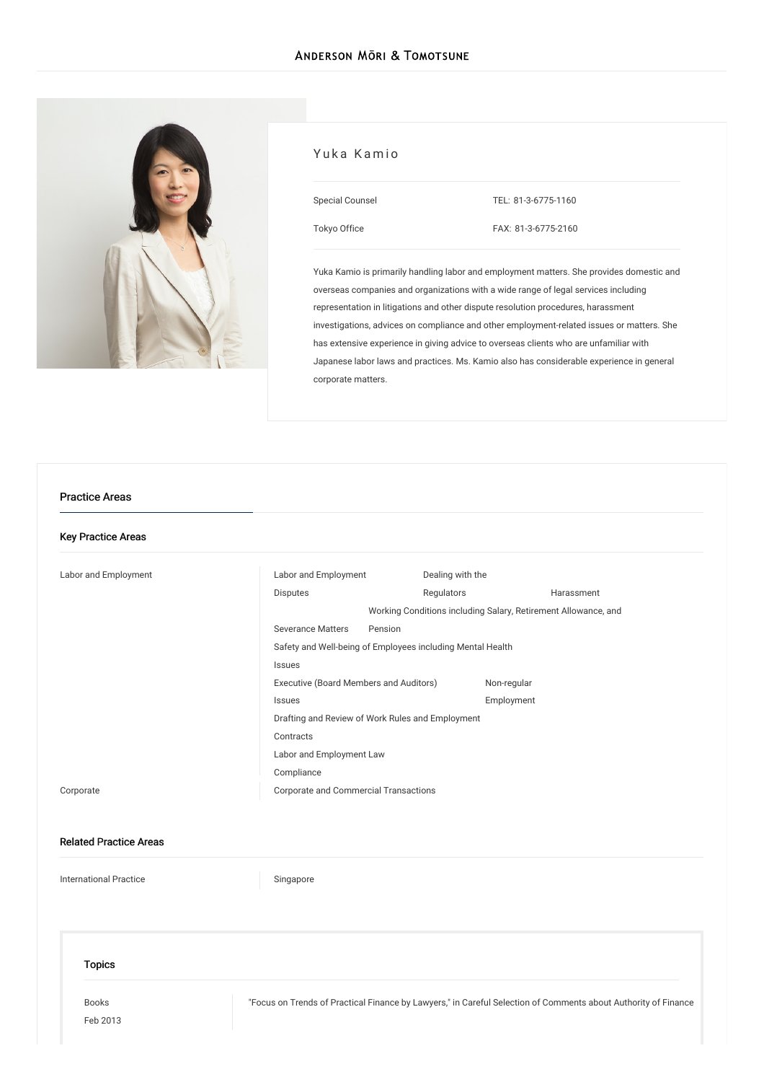[Tokyo](/en/locations/tokyo) Office



# Yuka Kamio Special Counsel TEL: [81-3-6775-1160](tel:81-3-6775-1160)

FAX: 81-3-6775-2160

Yuka Kamio is primarily handling labor and employment matters. She provides domestic and overseas companies and organizations with a wide range of legal services including representation in litigations and other dispute resolution procedures, harassment investigations, advices on compliance and other employment-related issues or matters. She has extensive experience in giving advice to overseas clients who are unfamiliar with Japanese labor laws and practices. Ms. Kamio also has considerable experience in general corporate matters.

#### Practice Areas

#### Key Practice Areas

| Labor and Employment | Labor and Employment                                           | Dealing with the |            |
|----------------------|----------------------------------------------------------------|------------------|------------|
|                      | <b>Disputes</b>                                                | Regulators       | Harassment |
|                      | Working Conditions including Salary, Retirement Allowance, and |                  |            |
|                      | <b>Severance Matters</b><br>Pension                            |                  |            |
|                      | Safety and Well-being of Employees including Mental Health     |                  |            |
|                      | Issues                                                         |                  |            |
|                      | Executive (Board Members and Auditors)                         | Non-regular      |            |
|                      | Issues                                                         | Employment       |            |
|                      | Drafting and Review of Work Rules and Employment               |                  |            |
|                      | Contracts                                                      |                  |            |
|                      | Labor and Employment Law                                       |                  |            |
|                      | Compliance                                                     |                  |            |
| Corporate            | <b>Corporate and Commercial Transactions</b>                   |                  |            |

#### Related Practice Areas

[International](/en/services/practices/international-practice) Practice [Singapore](/en/services/practices/international-practice/singapore)

#### Topics

[Books](/en/publications/books/) Feb 2013 "Focus on Trends of Practical Finance by Lawyers," in Careful Selection of [Comments](/en/publications/detail/publication_0011819_en_001) about Authority of Finance